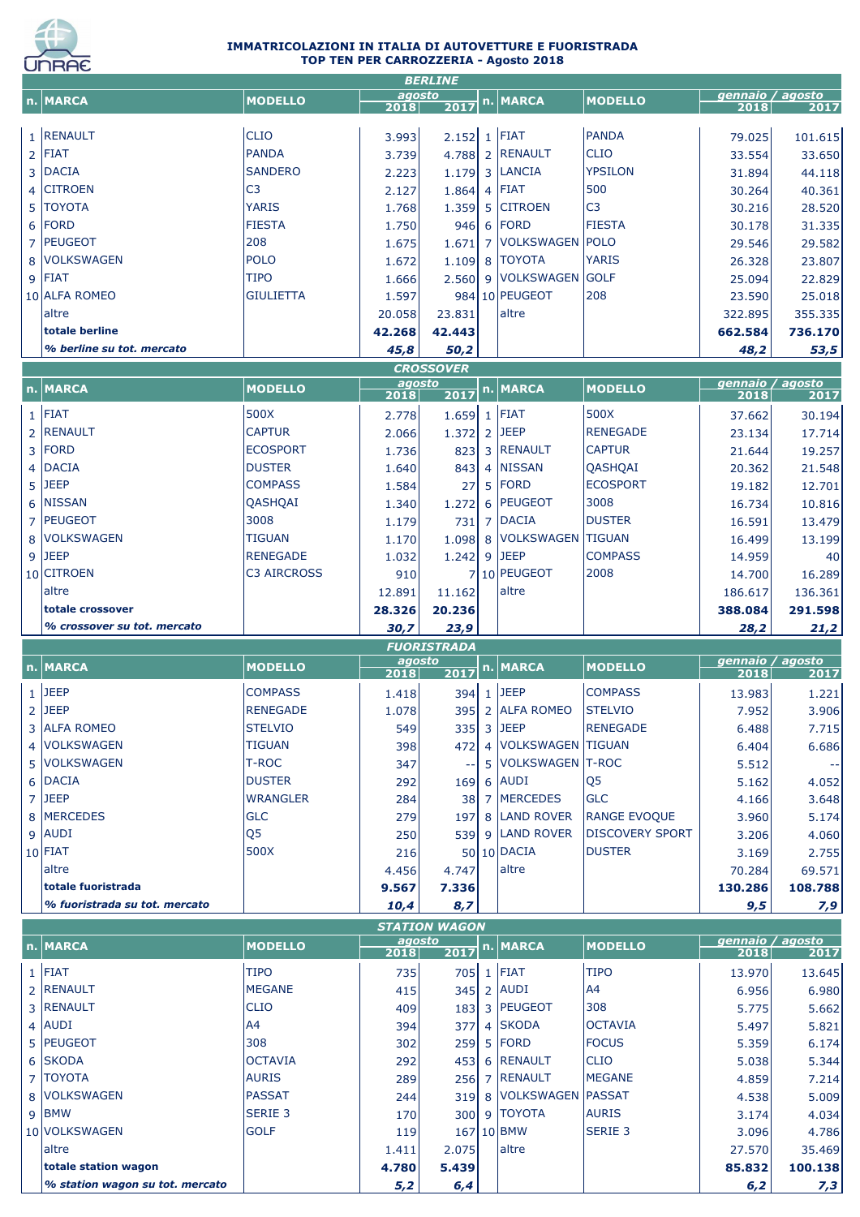

## **IMMATRICOLAZIONI IN ITALIA DI AUTOVETTURE E FUORISTRADA TOP TEN PER CARROZZERIA - Agosto 2018**

|                               |                               |                | <b>BERLINE</b>       |                            |                                |                          |                                                                                                            |
|-------------------------------|-------------------------------|----------------|----------------------|----------------------------|--------------------------------|--------------------------|------------------------------------------------------------------------------------------------------------|
| n. MARCA                      | <b>MODELLO</b>                | agosto<br>2018 | 2017                 | n. MARCA                   | <b>MODELLO</b>                 | gennaio / agosto<br>2018 | 2017                                                                                                       |
| 1 RENAULT                     | <b>CLIO</b>                   | 3.993          | $2.152$ 1 FIAT       |                            | PANDA                          | 79.025                   | 101.615                                                                                                    |
| $2$ FIAT                      | <b>PANDA</b>                  | 3.739          |                      | 4.788 2 RENAULT            | <b>CLIO</b>                    | 33.554                   | 33.650                                                                                                     |
| 3 DACIA                       | <b>SANDERO</b>                | 2.223          |                      | 1.179 3 LANCIA             | <b>YPSILON</b>                 | 31.894                   | 44.118                                                                                                     |
| 4 CITROEN                     | C <sub>3</sub>                | 2.127          | $1.864$ 4 FIAT       |                            | 500                            | 30.264                   | 40.361                                                                                                     |
| 5   TOYOTA                    | <b>YARIS</b>                  | 1.768          |                      | 1.359 5 CITROEN            | C <sub>3</sub>                 | 30.216                   | 28.520                                                                                                     |
| $6$ FORD                      | <b>FIESTA</b>                 | 1.750          |                      | 946 6 FORD                 | <b>FIESTA</b>                  | 30.178                   | 31.335                                                                                                     |
| 7 PEUGEOT                     | 208                           | 1.675          | 1.671                | 7 VOLKSWAGEN POLO          |                                | 29.546                   | 29.582                                                                                                     |
| 8 VOLKSWAGEN                  | <b>POLO</b>                   | 1.672          |                      | 1.109 8 TOYOTA             | <b>YARIS</b>                   | 26.328                   | 23.807                                                                                                     |
| $9$ FIAT                      | <b>TIPO</b>                   | 1.666          |                      | 2.560 9 VOLKSWAGEN GOLF    |                                | 25.094                   | 22.829                                                                                                     |
| 10 ALFA ROMEO                 | <b>GIULIETTA</b>              | 1.597          |                      | 984 10 PEUGEOT             | 208                            | 23.590                   | 25.018                                                                                                     |
| laltre                        |                               | 20.058         | 23.831               | altre                      |                                | 322.895                  | 355.335                                                                                                    |
| totale berline                |                               | 42.268         | 42.443               |                            |                                | 662.584                  | 736.170                                                                                                    |
| % berline su tot. mercato     |                               | 45,8           | 50,2                 |                            |                                | 48,2                     | 53,5                                                                                                       |
|                               |                               |                | <b>CROSSOVER</b>     |                            |                                |                          |                                                                                                            |
|                               | <b>MODELLO</b>                | agosto         |                      | n. MARCA                   | <b>MODELLO</b>                 | gennaio / agosto         |                                                                                                            |
| n. MARCA                      |                               | 2018           | 2017                 |                            |                                | 2018                     | 2017                                                                                                       |
| $1$ FIAT                      | 500X                          | 2.778          | $1.659$ 1 FIAT       |                            | 500X                           | 37.662                   | 30.194                                                                                                     |
| 2 RENAULT                     | <b>CAPTUR</b>                 | 2.066          | 1.372 2 JEEP         |                            | <b>RENEGADE</b>                | 23.134                   | 17.714                                                                                                     |
| 3 FORD                        | <b>ECOSPORT</b>               | 1.736          |                      | 823 3 RENAULT              | <b>CAPTUR</b>                  | 21.644                   | 19.257                                                                                                     |
| 4 DACIA                       | <b>DUSTER</b>                 | 1.640          | 843                  | 4 NISSAN                   | QASHQAI                        | 20.362                   | 21.548                                                                                                     |
| 5 JEEP                        | <b>COMPASS</b>                | 1.584          | 27                   | $5$ FORD                   | <b>ECOSPORT</b>                | 19.182                   | 12.701                                                                                                     |
| 6 NISSAN                      | QASHQAI                       | 1.340          | 1.272                | 6 PEUGEOT                  | 3008                           | 16.734                   | 10.816                                                                                                     |
| 7   PEUGEOT                   | 3008                          | 1.179          | 731                  | 7 DACIA                    | <b>DUSTER</b>                  | 16.591                   | 13.479                                                                                                     |
| 8   VOLKSWAGEN                | <b>TIGUAN</b>                 | 1.170          |                      | 1.098 8 VOLKSWAGEN TIGUAN  |                                | 16.499                   | 13.199                                                                                                     |
| $9$ JEEP                      | <b>RENEGADE</b>               | 1.032          | $1.242$ 9 JEEP       |                            | <b>COMPASS</b>                 | 14.959                   | 40                                                                                                         |
| 10 CITROEN                    | <b>C3 AIRCROSS</b>            | 910            |                      | 7 10 PEUGEOT               | 2008                           | 14.700                   | 16.289                                                                                                     |
| laltre                        |                               | 12.891         | 11.162               | altre                      |                                | 186.617                  | 136.361                                                                                                    |
| totale crossover              |                               |                |                      |                            |                                | 388.084                  |                                                                                                            |
|                               |                               |                |                      |                            |                                |                          |                                                                                                            |
|                               |                               | 28.326         | 20.236               |                            |                                |                          |                                                                                                            |
| % crossover su tot. mercato   |                               | 30,7           | 23,9                 |                            |                                | 28,2                     |                                                                                                            |
|                               |                               | agosto         | <b>FUORISTRADA</b>   |                            |                                | gennaio / agosto         |                                                                                                            |
| n. MARCA                      | <b>MODELLO</b>                | 2018           | 2017                 | n. MARCA                   | <b>MODELLO</b>                 | 2018                     | 2017                                                                                                       |
| $1$ JEEP                      | <b>COMPASS</b>                | 1.418          |                      | 394 1 JEEP                 | <b>COMPASS</b>                 | 13.983                   |                                                                                                            |
| $2$ JEEP                      | <b>RENEGADE</b>               | 1.078          |                      | 395 2 ALFA ROMEO           | <b>STELVIO</b>                 | 7.952                    |                                                                                                            |
| 3 ALFA ROMEO                  | <b>STELVIO</b>                | 549            |                      | 335 3 JEEP                 | <b>RENEGADE</b>                | 6.488                    |                                                                                                            |
| 4   VOLKSWAGEN                | <b>TIGUAN</b>                 | 398            | 472                  | 4   VOLKSWAGEN   TIGUAN    |                                | 6.404                    |                                                                                                            |
| 5 VOLKSWAGEN                  | T-ROC                         | 347            |                      | 5 VOLKSWAGEN T-ROC         |                                | 5.512                    | 291.598<br>21,2<br>1.221<br>3.906<br>7.715<br>6.686<br>$\sim$ $-$                                          |
| 6 DACIA                       | <b>DUSTER</b>                 | 292            |                      | 169 6 AUDI                 | Q <sub>5</sub>                 | 5.162                    |                                                                                                            |
| 7 JEEP                        | <b>WRANGLER</b>               | 284            |                      | 38 7 MERCEDES              | <b>GLC</b>                     | 4.166                    |                                                                                                            |
| 8 MERCEDES                    | <b>GLC</b>                    | 279            | 197                  | 8 LAND ROVER               | <b>RANGE EVOQUE</b>            | 3.960                    |                                                                                                            |
| $9$ AUDI                      | Q <sub>5</sub>                | 250            |                      | 539 9 LAND ROVER           | <b>DISCOVERY SPORT</b>         | 3.206                    |                                                                                                            |
| $10$ FIAT                     | 500X                          | 216            |                      | 50 10 DACIA                | <b>DUSTER</b>                  | 3.169                    |                                                                                                            |
| laltre                        |                               | 4.456          | 4.747                | altre                      |                                | 70.284                   |                                                                                                            |
| totale fuoristrada            |                               | 9.567          | 7.336                |                            |                                | 130.286                  |                                                                                                            |
| % fuoristrada su tot. mercato |                               | 10,4           | 8,7                  |                            |                                | 9,5                      |                                                                                                            |
|                               |                               |                | <b>STATION WAGON</b> |                            |                                |                          |                                                                                                            |
| n. MARCA                      | <b>MODELLO</b>                | agosto         |                      | n. MARCA                   | <b>MODELLO</b>                 | gennaio / agosto         |                                                                                                            |
|                               |                               | 2018           | 2017                 |                            |                                | 2018                     | 2017                                                                                                       |
| $1$ FIAT                      | <b>TIPO</b>                   | 735            |                      | 705 1 FIAT                 | <b>TIPO</b>                    | 13.970                   |                                                                                                            |
| 2 RENAULT                     | <b>MEGANE</b>                 | 415            |                      | 345 2 AUDI                 | A4                             | 6.956                    |                                                                                                            |
| 3 RENAULT                     | <b>CLIO</b>                   | 409            |                      | 183 3 PEUGEOT              | 308                            | 5.775                    |                                                                                                            |
| $4$ AUDI                      | A4                            | 394            | 377                  | 4 SKODA                    | <b>OCTAVIA</b>                 | 5.497                    | 4.052<br>3.648<br>5.174<br>4.060<br>2.755<br>69.571<br>108.788<br>7,9<br>13.645<br>6.980<br>5.662<br>5.821 |
| 5 PEUGEOT                     | 308                           | 302            |                      | 259 5 FORD                 | <b>FOCUS</b>                   | 5.359                    |                                                                                                            |
| 6 SKODA                       | <b>OCTAVIA</b>                | 292            |                      | 453 6 RENAULT              | ICLIO                          | 5.038                    | 6.174<br>5.344                                                                                             |
| 7 TOYOTA                      | <b>AURIS</b>                  | 289            |                      | 256 7 RENAULT              | <b>MEGANE</b>                  | 4.859                    | 7.214                                                                                                      |
| 8 VOLKSWAGEN                  | <b>PASSAT</b>                 | 244            |                      | 319 8 VOLKSWAGEN PASSAT    |                                | 4.538                    | 5.009                                                                                                      |
| 9 BMW<br>10 VOLKSWAGEN        | <b>SERIE 3</b><br><b>GOLF</b> | 170<br>119     |                      | 300 9 TOYOTA<br>167 10 BMW | <b>AURIS</b><br><b>SERIE 3</b> | 3.174<br>3.096           | 4.034<br>4.786                                                                                             |

altre 1.411 2.075 altre 1.411 2.075 altre 27.570 35.469 altre 27.570 altre 2010 altre 2010 altre 201 **totale station wagon 4.780 5.439 85.832 100.138** *% station wagon su tot. mercato 5,2 6,4 6,2 7,3*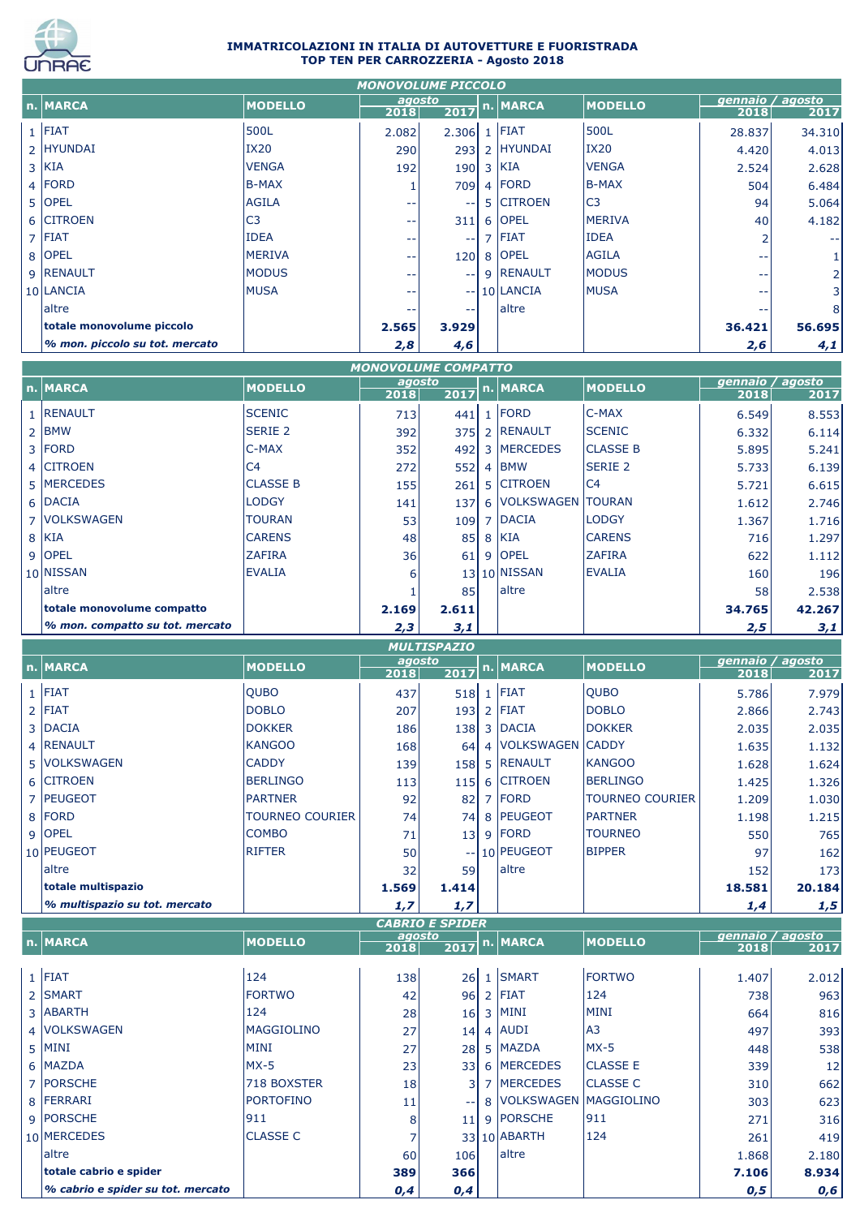

 $\mathbf{L}$ 

## **IMMATRICOLAZIONI IN ITALIA DI AUTOVETTURE E FUORISTRADA TOP TEN PER CARROZZERIA - Agosto 2018**

| <b>MONOVOLUME PICCOLO</b>      |                |                |                |  |                 |                |                          |        |  |
|--------------------------------|----------------|----------------|----------------|--|-----------------|----------------|--------------------------|--------|--|
| n. MARCA                       | <b>MODELLO</b> | agosto<br>2018 | $\boxed{2017}$ |  | n. MARCA        | <b>MODELLO</b> | gennaio / agosto<br>2018 | 2017   |  |
| $1$  FIAT                      | 500L           | 2.082          | 2.306          |  | $1$  FIAT       | 500L           | 28.837                   | 34.310 |  |
| 2 HYUNDAI                      | <b>IX20</b>    | 290            | 293            |  | 2 HYUNDAI       | <b>IX20</b>    | 4.420                    | 4.013  |  |
| $3$ KIA                        | <b>VENGA</b>   | 192            | 190            |  | 3 KIA           | <b>VENGA</b>   | 2.524                    | 2.628  |  |
| $4$ FORD                       | B-MAX          |                | 709            |  | 4 FORD          | B-MAX          | 504                      | 6.484  |  |
| 5 OPEL                         | <b>AGILA</b>   | --             | $- -$          |  | 5 CITROEN       | C <sub>3</sub> | 94                       | 5.064  |  |
| 6 CITROEN                      | C <sub>3</sub> | --             | 311            |  | 6 OPEL          | <b>MERIVA</b>  | 40                       | 4.182  |  |
| $7$ FIAT                       | <b>IDEA</b>    | --             | $- -$          |  | $7$ FIAT        | <b>IDEA</b>    |                          |        |  |
| 8 OPEL                         | <b>MERIVA</b>  | --             | 120            |  | 8 OPEL          | <b>AGILA</b>   | --                       |        |  |
| 9 RENAULT                      | <b>MODUS</b>   | --             | $\sim$ $\sim$  |  | 9 RENAULT       | <b>MODUS</b>   | $- -$                    | 21     |  |
| 10 LANCIA                      | <b>MUSA</b>    | --             |                |  | $-$   10 LANCIA | <b>MUSA</b>    | --                       | 3      |  |
| laltre                         |                | --             | $- -$          |  | laltre          |                | --                       | 8      |  |
| totale monovolume piccolo      |                | 2.565          | 3.929          |  |                 |                | 36.421                   | 56.695 |  |
| % mon. piccolo su tot. mercato |                | 2,8            | 4,6            |  |                 |                | 2,6                      | 4,1    |  |

| <b>MONOVOLUME COMPATTO</b>      |                 |        |                   |                |                         |                  |        |        |  |  |  |
|---------------------------------|-----------------|--------|-------------------|----------------|-------------------------|------------------|--------|--------|--|--|--|
| n. MARCA                        | <b>MODELLO</b>  | agosto |                   | n. MARCA       | <b>MODELLO</b>          | gennaio / agosto |        |        |  |  |  |
|                                 |                 | 2018   | $\overline{2017}$ |                |                         |                  | 2018   | 2017   |  |  |  |
| 1 RENAULT                       | <b>SCENIC</b>   | 713    | 441               |                | $1$ FORD                | $C-MAX$          | 6.549  | 8.553  |  |  |  |
| $2$ BMW                         | <b>SERIE 2</b>  | 392    | 375               |                | 2 RENAULT               | <b>SCENIC</b>    | 6.332  | 6.114  |  |  |  |
| 3 FORD                          | C-MAX           | 352    | 492               |                | 3 MERCEDES              | <b>CLASSE B</b>  | 5.895  | 5.241  |  |  |  |
| 4 CITROEN                       | C <sub>4</sub>  | 272    | 552               | $\overline{4}$ | <b>BMW</b>              | <b>SERIE 2</b>   | 5.733  | 6.139  |  |  |  |
| 5 MERCEDES                      | <b>CLASSE B</b> | 155    | 261               |                | 5 CITROEN               | C4               | 5.721  | 6.615  |  |  |  |
| 6 DACIA                         | <b>LODGY</b>    | 141    | 137               |                | 6   VOLKSWAGEN   TOURAN |                  | 1.612  | 2.746  |  |  |  |
| 7   VOLKSWAGEN                  | <b>TOURAN</b>   | 53     | 109               |                | 7 DACIA                 | <b>LODGY</b>     | 1.367  | 1.716  |  |  |  |
| 8 KIA                           | <b>CARENS</b>   | 48     | 85                |                | 8 KIA                   | <b>CARENS</b>    | 716    | 1.297  |  |  |  |
| 9 OPEL                          | <b>ZAFIRA</b>   | 36     | 61                | 9              | <b>OPEL</b>             | <b>ZAFIRA</b>    | 622    | 1.112  |  |  |  |
| 10 NISSAN                       | <b>EVALIA</b>   | 6      |                   |                | 13 10 NISSAN            | <b>EVALIA</b>    | 160    | 196    |  |  |  |
| laltre                          |                 |        | 85                |                | altre                   |                  | 58     | 2.538  |  |  |  |
| totale monovolume compatto      |                 | 2.169  | 2.611             |                |                         |                  | 34.765 | 42.267 |  |  |  |
| % mon. compatto su tot. mercato |                 | 2,3    | 3,1               |                |                         |                  | 2,5    | 3,1    |  |  |  |

| <b>MULTISPAZIO</b>            |                        |                |            |  |                      |                        |                          |        |  |  |
|-------------------------------|------------------------|----------------|------------|--|----------------------|------------------------|--------------------------|--------|--|--|
| n. MARCA                      | <b>MODELLO</b>         | agosto<br>2018 |            |  | 2017 n. MARCA        | <b>MODELLO</b>         | gennaio / agosto<br>2018 | 2017   |  |  |
|                               |                        |                |            |  |                      |                        |                          |        |  |  |
| $1$ FIAT                      | <b>QUBO</b>            | 437            | 518        |  | $1$ FIAT             | <b>QUBO</b>            | 5.786                    | 7.979  |  |  |
| $2$  FIAT                     | <b>DOBLO</b>           | 207            | 193        |  | $2$ FIAT             | <b>DOBLO</b>           | 2.866                    | 2.743  |  |  |
| 3 DACIA                       | <b>DOKKER</b>          | 186            | 138        |  | 3 DACIA              | <b>DOKKER</b>          | 2.035                    | 2.035  |  |  |
| 4 RENAULT                     | <b>KANGOO</b>          | 168            | 64         |  | 4   VOLKSWAGEN CADDY |                        | 1.635                    | 1.132  |  |  |
| 5   VOLKSWAGEN                | <b>CADDY</b>           | 139            | 158        |  | 5 RENAULT            | <b>IKANGOO</b>         | 1.628                    | 1.624  |  |  |
| 6 CITROEN                     | <b>BERLINGO</b>        | 113            | <b>115</b> |  | 6 CITROEN            | <b>BERLINGO</b>        | 1.425                    | 1.326  |  |  |
| 7 PEUGEOT                     | <b>PARTNER</b>         | 92             | 82         |  | 7 FORD               | <b>TOURNEO COURIER</b> | 1.209                    | 1.030  |  |  |
| 8 FORD                        | <b>TOURNEO COURIER</b> | 74             | 74         |  | 8 PEUGEOT            | <b>PARTNER</b>         | 1.198                    | 1.215  |  |  |
| $9$ OPEL                      | <b>COMBO</b>           | 71             | 13         |  | $9$ FORD             | <b>TOURNEO</b>         | 550                      | 765    |  |  |
| 10 PEUGEOT                    | <b>RIFTER</b>          | 50             |            |  | $-10$ PEUGEOT        | <b>BIPPER</b>          | 97                       | 162    |  |  |
| laltre                        |                        | 32             | 59         |  | laltre               |                        | 152                      | 173    |  |  |
| totale multispazio            |                        | 1.569          | 1.414      |  |                      |                        | 18.581                   | 20.184 |  |  |
| % multispazio su tot. mercato |                        | 1,7            | 1,7        |  |                      |                        | 1,4                      | 1,5    |  |  |

| <b>CABRIO E SPIDER</b>            |                   |        |            |                |                         |                 |                  |       |  |  |
|-----------------------------------|-------------------|--------|------------|----------------|-------------------------|-----------------|------------------|-------|--|--|
| n. MARCA                          | <b>MODELLO</b>    | agosto |            |                | 2017 n. MARCA           | <b>MODELLO</b>  | gennaio / agosto |       |  |  |
|                                   |                   | 2018   |            |                |                         |                 | 2018             | 2017  |  |  |
|                                   |                   |        |            |                |                         |                 |                  |       |  |  |
| $1$ FIAT                          | 124               | 138    | 26         |                | 1 SMART                 | <b>FORTWO</b>   | 1.407            | 2.012 |  |  |
| 2 SMART                           | <b>FORTWO</b>     | 42     | 96         | $\overline{2}$ | <b>FIAT</b>             | 124             | 738              | 963   |  |  |
| 3 ABARTH                          | 124               | 28     | 16         |                | 3 MINI                  | MINI            | 664              | 816   |  |  |
| 4   VOLKSWAGEN                    | <b>MAGGIOLINO</b> | 27     | 14         |                | 4 AUDI                  | A <sub>3</sub>  | 497              | 393   |  |  |
| $5$ MINI                          | <b>MINI</b>       | 27     | 28         |                | 5 MAZDA                 | $MX-5$          | 448              | 538   |  |  |
| 6 MAZDA                           | $MX-5$            | 23     | 33         |                | 6 MERCEDES              | <b>CLASSE E</b> | 339              | 12    |  |  |
| 7 PORSCHE                         | 718 BOXSTER       | 18     | 31         |                | 7 MERCEDES              | <b>CLASSE C</b> | 310              | 662   |  |  |
| 8 FERRARI                         | <b>PORTOFINO</b>  | 11     | $\sim$ $-$ |                | 8 VOLKSWAGEN MAGGIOLINO |                 | 303              | 623   |  |  |
| 9 PORSCHE                         | 911               | 8      | 11         | 9              | <b>PORSCHE</b>          | 911             | 271              | 316   |  |  |
| 10 MERCEDES                       | <b>CLASSE C</b>   |        |            |                | 33 10 ABARTH            | 124             | 261              | 419   |  |  |
| laltre                            |                   | 60     | 106        |                | <b>altre</b>            |                 | 1.868            | 2.180 |  |  |
| totale cabrio e spider            |                   | 389    | 366        |                |                         |                 | 7.106            | 8.934 |  |  |
| % cabrio e spider su tot. mercato |                   | 0,4    | 0,4        |                |                         |                 | 0,5              | 0,6   |  |  |